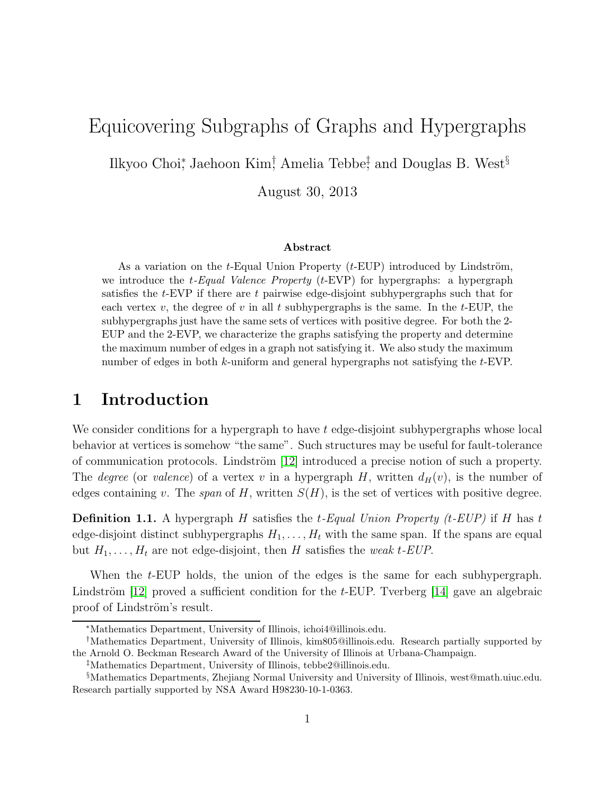# Equicovering Subgraphs of Graphs and Hypergraphs

Ilkyoo Choi<sup>∗</sup> , Jaehoon Kim† , Amelia Tebbe‡ , and Douglas B. West§

August 30, 2013

#### Abstract

As a variation on the t-Equal Union Property  $(t$ -EUP) introduced by Lindström, we introduce the t-Equal Valence Property  $(t$ -EVP) for hypergraphs: a hypergraph satisfies the  $t$ -EVP if there are t pairwise edge-disjoint subhypergraphs such that for each vertex v, the degree of v in all t subhypergraphs is the same. In the t-EUP, the subhypergraphs just have the same sets of vertices with positive degree. For both the 2- EUP and the 2-EVP, we characterize the graphs satisfying the property and determine the maximum number of edges in a graph not satisfying it. We also study the maximum number of edges in both k-uniform and general hypergraphs not satisfying the t-EVP.

### 1 Introduction

We consider conditions for a hypergraph to have  $t$  edge-disjoint subhypergraphs whose local behavior at vertices is somehow "the same". Such structures may be useful for fault-tolerance of communication protocols. Lindström  $[12]$  introduced a precise notion of such a property. The *degree* (or valence) of a vertex v in a hypergraph H, written  $d_H(v)$ , is the number of edges containing v. The span of H, written  $S(H)$ , is the set of vertices with positive degree.

**Definition 1.1.** A hypergraph H satisfies the t-Equal Union Property (t-EUP) if H has t edge-disjoint distinct subhypergraphs  $H_1, \ldots, H_t$  with the same span. If the spans are equal but  $H_1, \ldots, H_t$  are not edge-disjoint, then H satisfies the weak t-EUP.

When the t-EUP holds, the union of the edges is the same for each subhypergraph. Lindström [\[12\]](#page-14-0) proved a sufficient condition for the  $t$ -EUP. Tverberg [\[14\]](#page-14-1) gave an algebraic proof of Lindström's result.

<sup>∗</sup>Mathematics Department, University of Illinois, ichoi4@illinois.edu.

<sup>†</sup>Mathematics Department, University of Illinois, kim805@illinois.edu. Research partially supported by the Arnold O. Beckman Research Award of the University of Illinois at Urbana-Champaign.

<sup>‡</sup>Mathematics Department, University of Illinois, tebbe2@illinois.edu.

<sup>§</sup>Mathematics Departments, Zhejiang Normal University and University of Illinois, west@math.uiuc.edu. Research partially supported by NSA Award H98230-10-1-0363.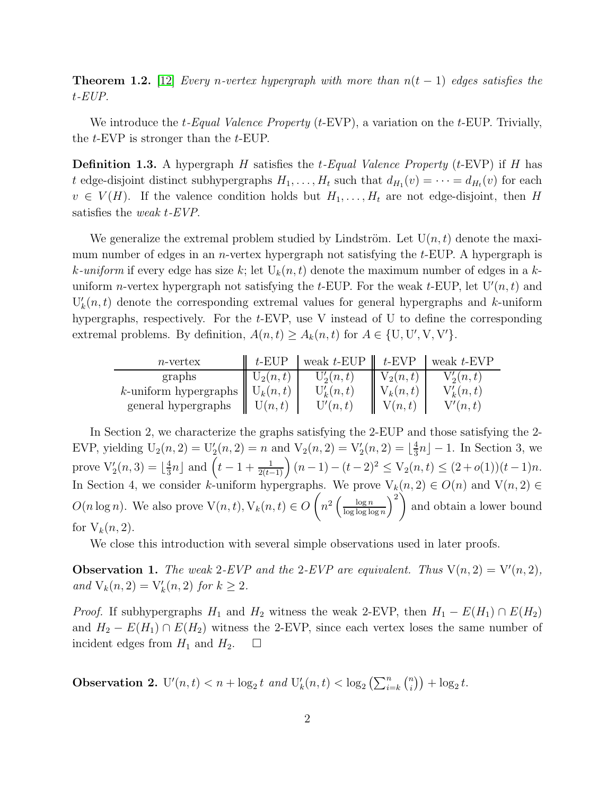**Theorem 1.2.** [\[12\]](#page-14-0) Every n-vertex hypergraph with more than  $n(t-1)$  edges satisfies the t-EUP.

We introduce the  $t$ -Equal Valence Property ( $t$ -EVP), a variation on the  $t$ -EUP. Trivially, the t-EVP is stronger than the t-EUP.

**Definition 1.3.** A hypergraph H satisfies the t-Equal Valence Property (t-EVP) if H has t edge-disjoint distinct subhypergraphs  $H_1, \ldots, H_t$  such that  $d_{H_1}(v) = \cdots = d_{H_t}(v)$  for each  $v \in V(H)$ . If the valence condition holds but  $H_1, \ldots, H_t$  are not edge-disjoint, then H satisfies the weak t-EVP.

We generalize the extremal problem studied by Lindström. Let  $U(n, t)$  denote the maximum number of edges in an *n*-vertex hypergraph not satisfying the  $t$ -EUP. A hypergraph is k-uniform if every edge has size k; let  $U_k(n, t)$  denote the maximum number of edges in a kuniform *n*-vertex hypergraph not satisfying the *t*-EUP. For the weak *t*-EUP, let  $U'(n, t)$  and  $U'_{k}(n,t)$  denote the corresponding extremal values for general hypergraphs and k-uniform hypergraphs, respectively. For the t-EVP, use V instead of U to define the corresponding extremal problems. By definition,  $A(n,t) \ge A_k(n,t)$  for  $A \in \{U, U', V, V'\}$ .

| $n$ -vertex              | $t$ -EUP   | weak $t$ -EUP | $t$ -EVP   | weak $t$ -EVP |
|--------------------------|------------|---------------|------------|---------------|
| graphs                   | $U_2(n,t)$ | $U_2(n,t)$    | $V_2(n,t)$ | $V_2(n,t)$    |
| $k$ -uniform hypergraphs | $U_k(n,t)$ | $U'_{k}(n,t)$ | $V_k(n,t)$ | $V'_k(n,t)$   |
| general hypergraphs      | U(n,t)     | U'(n,t)       | V(n,t)     | V'(n,t)       |

In Section 2, we characterize the graphs satisfying the 2-EUP and those satisfying the 2- EVP, yielding  $U_2(n, 2) = U'_2(n, 2) = n$  and  $V_2(n, 2) = V'_2(n, 2) = \lfloor \frac{4}{3} \rfloor$  $\frac{4}{3}n$ ] – 1. In Section 3, we prove  $V_2(n, 3) = \lfloor \frac{4}{3} \rfloor$  $\frac{4}{3}n\rfloor$  and  $\left(t-1+\frac{1}{2(t-1)}\right)(n-1)-(t-2)^2\leq V_2(n,t)\leq (2+o(1))(t-1)n$ . In Section 4, we consider k-uniform hypergraphs. We prove  $V_k(n, 2) \in O(n)$  and  $V(n, 2) \in$  $O(n \log n)$ . We also prove  $V(n, t)$ ,  $V_k(n, t) \in O\left(n^2 \left(\frac{\log n}{\log \log \log n}\right)\right)$  $\frac{\log n}{\log \log \log n}$  $\bigg)^2$ and obtain a lower bound for  $V_k(n, 2)$ .

We close this introduction with several simple observations used in later proofs.

**Observation 1.** The weak 2-EVP and the 2-EVP are equivalent. Thus  $V(n, 2) = V'(n, 2)$ , and  $V_k(n, 2) = V'_k(n, 2)$  for  $k \ge 2$ .

*Proof.* If subhypergraphs  $H_1$  and  $H_2$  witness the weak 2-EVP, then  $H_1 - E(H_1) \cap E(H_2)$ and  $H_2 - E(H_1) \cap E(H_2)$  witness the 2-EVP, since each vertex loses the same number of incident edges from  $H_1$  and  $H_2$ .  $\Box$ 

**Observation 2.**  $U'(n,t) < n + \log_2 t$  and  $U'_k(n,t) < \log_2 \left( \sum_{i=k}^n {n \choose i} \right)$  $\binom{n}{i}$  +  $\log_2 t$ .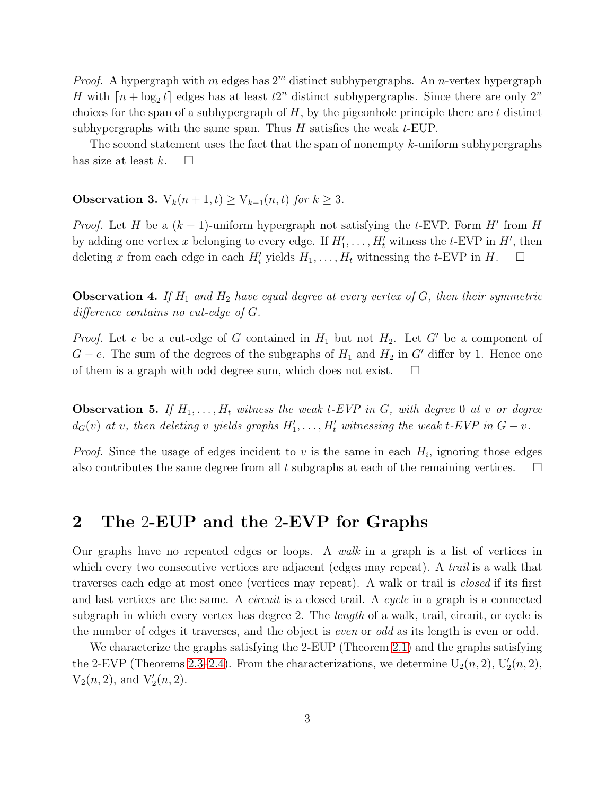*Proof.* A hypergraph with m edges has  $2<sup>m</sup>$  distinct subhypergraphs. An n-vertex hypergraph H with  $\lceil n + \log_2 t \rceil$  edges has at least  $t2^n$  distinct subhypergraphs. Since there are only  $2^n$ choices for the span of a subhypergraph of  $H$ , by the pigeonhole principle there are  $t$  distinct subhypergraphs with the same span. Thus  $H$  satisfies the weak  $t$ -EUP.

The second statement uses the fact that the span of nonempty  $k$ -uniform subhypergraphs has size at least  $k$ .  $\Box$ 

<span id="page-2-2"></span>Observation 3.  $V_k(n+1,t) \geq V_{k-1}(n,t)$  for  $k \geq 3$ .

*Proof.* Let H be a  $(k-1)$ -uniform hypergraph not satisfying the t-EVP. Form H' from H by adding one vertex x belonging to every edge. If  $H'_1, \ldots, H'_t$  witness the t-EVP in  $H'$ , then deleting x from each edge in each  $H'_{i}$  yields  $H_{1}, \ldots, H_{t}$  witnessing the t-EVP in H.  $\Box$ 

<span id="page-2-1"></span>**Observation 4.** If  $H_1$  and  $H_2$  have equal degree at every vertex of G, then their symmetric difference contains no cut-edge of G.

*Proof.* Let e be a cut-edge of G contained in  $H_1$  but not  $H_2$ . Let G' be a component of  $G - e$ . The sum of the degrees of the subgraphs of  $H_1$  and  $H_2$  in G' differ by 1. Hence one of them is a graph with odd degree sum, which does not exist.  $\square$ 

<span id="page-2-0"></span>**Observation 5.** If  $H_1, \ldots, H_t$  witness the weak t-EVP in G, with degree 0 at v or degree  $d_G(v)$  at v, then deleting v yields graphs  $H'_1, \ldots, H'_t$  witnessing the weak t-EVP in  $G - v$ .

*Proof.* Since the usage of edges incident to  $v$  is the same in each  $H_i$ , ignoring those edges also contributes the same degree from all t subgraphs at each of the remaining vertices.  $\Box$ 

## 2 The 2-EUP and the 2-EVP for Graphs

Our graphs have no repeated edges or loops. A walk in a graph is a list of vertices in which every two consecutive vertices are adjacent (edges may repeat). A *trail* is a walk that traverses each edge at most once (vertices may repeat). A walk or trail is closed if its first and last vertices are the same. A *circuit* is a closed trail. A *cycle* in a graph is a connected subgraph in which every vertex has degree 2. The *length* of a walk, trail, circuit, or cycle is the number of edges it traverses, and the object is even or odd as its length is even or odd.

We characterize the graphs satisfying the 2-EUP (Theorem [2.1\)](#page-3-0) and the graphs satisfying the 2-EVP (Theorems [2.3](#page-3-1)[–2.4\)](#page-4-0). From the characterizations, we determine  $U_2(n, 2)$ ,  $U'_2(n, 2)$ ,  $V_2(n, 2)$ , and  $V'_2(n, 2)$ .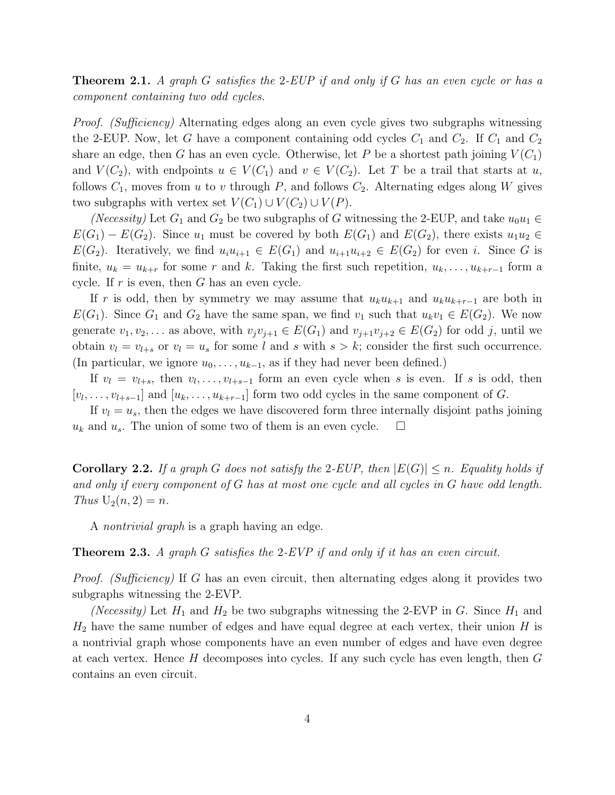<span id="page-3-0"></span>**Theorem 2.1.** A graph G satisfies the 2-EUP if and only if G has an even cycle or has a component containing two odd cycles.

Proof. (Sufficiency) Alternating edges along an even cycle gives two subgraphs witnessing the 2-EUP. Now, let G have a component containing odd cycles  $C_1$  and  $C_2$ . If  $C_1$  and  $C_2$ share an edge, then G has an even cycle. Otherwise, let P be a shortest path joining  $V(C_1)$ and  $V(C_2)$ , with endpoints  $u \in V(C_1)$  and  $v \in V(C_2)$ . Let T be a trail that starts at u, follows  $C_1$ , moves from u to v through P, and follows  $C_2$ . Alternating edges along W gives two subgraphs with vertex set  $V(C_1) \cup V(C_2) \cup V(P)$ .

(Necessity) Let  $G_1$  and  $G_2$  be two subgraphs of G witnessing the 2-EUP, and take  $u_0u_1 \in$  $E(G_1) - E(G_2)$ . Since  $u_1$  must be covered by both  $E(G_1)$  and  $E(G_2)$ , there exists  $u_1u_2 \in$  $E(G_2)$ . Iteratively, we find  $u_iu_{i+1} \in E(G_1)$  and  $u_{i+1}u_{i+2} \in E(G_2)$  for even i. Since G is finite,  $u_k = u_{k+r}$  for some r and k. Taking the first such repetition,  $u_k, \ldots, u_{k+r-1}$  form a cycle. If  $r$  is even, then  $G$  has an even cycle.

If r is odd, then by symmetry we may assume that  $u_ku_{k+1}$  and  $u_ku_{k+r-1}$  are both in  $E(G_1)$ . Since  $G_1$  and  $G_2$  have the same span, we find  $v_1$  such that  $u_kv_1 \in E(G_2)$ . We now generate  $v_1, v_2, \ldots$  as above, with  $v_jv_{j+1} \in E(G_1)$  and  $v_{j+1}v_{j+2} \in E(G_2)$  for odd j, until we obtain  $v_l = v_{l+s}$  or  $v_l = u_s$  for some l and s with  $s > k$ ; consider the first such occurrence. (In particular, we ignore  $u_0, \ldots, u_{k-1}$ , as if they had never been defined.)

If  $v_l = v_{l+s}$ , then  $v_l, \ldots, v_{l+s-1}$  form an even cycle when s is even. If s is odd, then  $[v_l, \ldots, v_{l+s-1}]$  and  $[u_k, \ldots, u_{k+r-1}]$  form two odd cycles in the same component of G.

If  $v_l = u_s$ , then the edges we have discovered form three internally disjoint paths joining  $u_k$  and  $u_s$ . The union of some two of them is an even cycle.  $\Box$ 

**Corollary 2.2.** If a graph G does not satisfy the 2-EUP, then  $|E(G)| \leq n$ . Equality holds if and only if every component of G has at most one cycle and all cycles in G have odd length. Thus  $U_2(n, 2) = n$ .

A nontrivial graph is a graph having an edge.

<span id="page-3-1"></span>**Theorem 2.3.** A graph G satisfies the 2-EVP if and only if it has an even circuit.

Proof. (Sufficiency) If G has an even circuit, then alternating edges along it provides two subgraphs witnessing the 2-EVP.

(Necessity) Let  $H_1$  and  $H_2$  be two subgraphs witnessing the 2-EVP in G. Since  $H_1$  and  $H_2$  have the same number of edges and have equal degree at each vertex, their union H is a nontrivial graph whose components have an even number of edges and have even degree at each vertex. Hence  $H$  decomposes into cycles. If any such cycle has even length, then  $G$ contains an even circuit.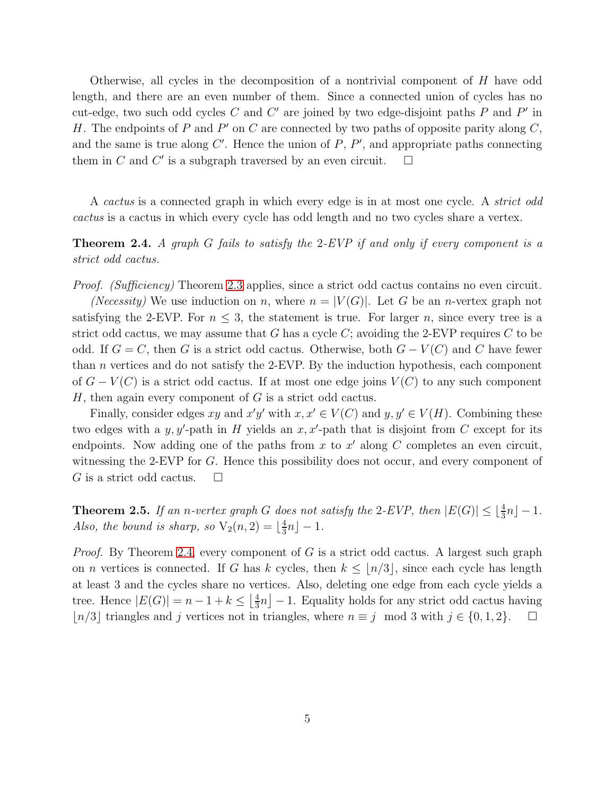Otherwise, all cycles in the decomposition of a nontrivial component of H have odd length, and there are an even number of them. Since a connected union of cycles has no cut-edge, two such odd cycles C and C' are joined by two edge-disjoint paths P and P' in H. The endpoints of P and P' on C are connected by two paths of opposite parity along  $C$ , and the same is true along  $C'$ . Hence the union of  $P, P'$ , and appropriate paths connecting them in C and C' is a subgraph traversed by an even circuit.  $\Box$ 

A *cactus* is a connected graph in which every edge is in at most one cycle. A *strict odd* cactus is a cactus in which every cycle has odd length and no two cycles share a vertex.

### <span id="page-4-0"></span>**Theorem 2.4.** A graph G fails to satisfy the 2-EVP if and only if every component is a strict odd cactus.

Proof. (Sufficiency) Theorem [2.3](#page-3-1) applies, since a strict odd cactus contains no even circuit.

(*Necessity*) We use induction on n, where  $n = |V(G)|$ . Let G be an n-vertex graph not satisfying the 2-EVP. For  $n \leq 3$ , the statement is true. For larger n, since every tree is a strict odd cactus, we may assume that G has a cycle C; avoiding the 2-EVP requires C to be odd. If  $G = C$ , then G is a strict odd cactus. Otherwise, both  $G - V(C)$  and C have fewer than  $n$  vertices and do not satisfy the 2-EVP. By the induction hypothesis, each component of  $G - V(C)$  is a strict odd cactus. If at most one edge joins  $V(C)$  to any such component  $H$ , then again every component of  $G$  is a strict odd cactus.

Finally, consider edges xy and  $x'y'$  with  $x, x' \in V(C)$  and  $y, y' \in V(H)$ . Combining these two edges with a y, y'-path in H yields an  $x, x'$ -path that is disjoint from C except for its endpoints. Now adding one of the paths from x to  $x'$  along C completes an even circuit, witnessing the 2-EVP for G. Hence this possibility does not occur, and every component of G is a strict odd cactus.  $\Box$ 

<span id="page-4-1"></span>**Theorem 2.5.** If an n-vertex graph G does not satisfy the 2-EVP, then  $|E(G)| \leq \lfloor \frac{4}{3}n \rfloor - 1$ . Also, the bound is sharp, so  $V_2(n, 2) = \lfloor \frac{4}{3} \rfloor$  $\frac{4}{3}n$ ] – 1.

*Proof.* By Theorem [2.4,](#page-4-0) every component of G is a strict odd cactus. A largest such graph on *n* vertices is connected. If G has k cycles, then  $k \leq \lfloor n/3 \rfloor$ , since each cycle has length at least 3 and the cycles share no vertices. Also, deleting one edge from each cycle yields a tree. Hence  $|E(G)| = n - 1 + k \leq \left\lfloor \frac{4}{3} \right\rfloor$  $\frac{4}{3}n$  – 1. Equality holds for any strict odd cactus having |n/3 triangles and j vertices not in triangles, where  $n \equiv j \mod 3$  with  $j \in \{0, 1, 2\}$ . □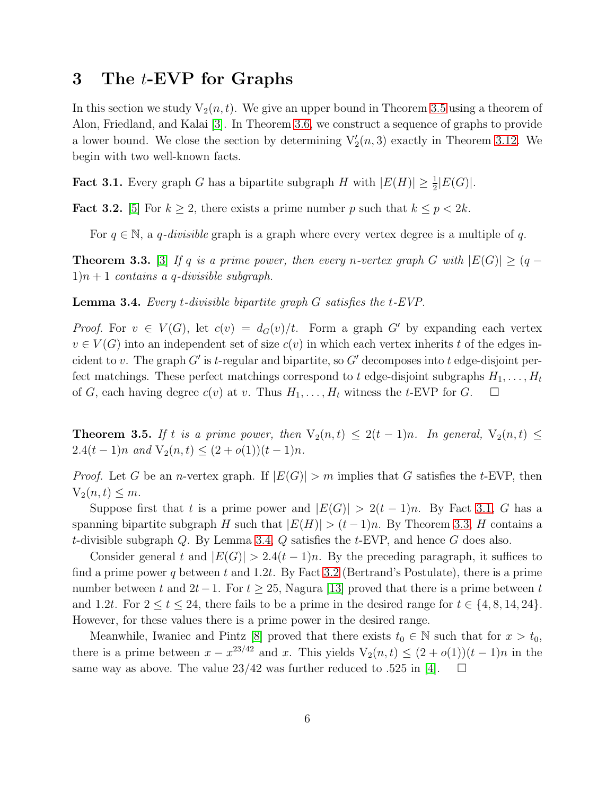## 3 The t-EVP for Graphs

In this section we study  $V_2(n, t)$ . We give an upper bound in Theorem [3.5](#page-5-0) using a theorem of Alon, Friedland, and Kalai [\[3\]](#page-14-2). In Theorem [3.6,](#page-6-0) we construct a sequence of graphs to provide a lower bound. We close the section by determining  $V'_{2}(n,3)$  exactly in Theorem [3.12.](#page-9-0) We begin with two well-known facts.

<span id="page-5-1"></span>**Fact 3.1.** Every graph G has a bipartite subgraph H with  $|E(H)| \geq \frac{1}{2}|E(G)|$ .

<span id="page-5-4"></span>**Fact 3.2.** [\[5\]](#page-14-3) For  $k \geq 2$ , there exists a prime number p such that  $k \leq p < 2k$ .

For  $q \in \mathbb{N}$ , a q-divisible graph is a graph where every vertex degree is a multiple of q.

<span id="page-5-2"></span>**Theorem 3.3.** [\[3\]](#page-14-2) If q is a prime power, then every n-vertex graph G with  $|E(G)| \geq (q 1\,n+1$  contains a q-divisible subgraph.

<span id="page-5-3"></span>**Lemma 3.4.** Every *t*-divisible bipartite graph  $G$  satisfies the  $t$ -EVP.

*Proof.* For  $v \in V(G)$ , let  $c(v) = d_G(v)/t$ . Form a graph G' by expanding each vertex  $v \in V(G)$  into an independent set of size  $c(v)$  in which each vertex inherits t of the edges incident to v. The graph G' is t-regular and bipartite, so G' decomposes into t edge-disjoint perfect matchings. These perfect matchings correspond to t edge-disjoint subgraphs  $H_1, \ldots, H_t$ of G, each having degree  $c(v)$  at v. Thus  $H_1, \ldots, H_t$  witness the t-EVP for G.  $\Box$ 

<span id="page-5-0"></span>**Theorem 3.5.** If t is a prime power, then  $V_2(n,t) \leq 2(t-1)n$ . In general,  $V_2(n,t) \leq$ 2.4(t – 1)n and  $V_2(n,t) \leq (2+o(1))(t-1)n$ .

*Proof.* Let G be an *n*-vertex graph. If  $|E(G)| > m$  implies that G satisfies the t-EVP, then  $V_2(n,t) \leq m$ .

Suppose first that t is a prime power and  $|E(G)| > 2(t-1)n$ . By Fact [3.1,](#page-5-1) G has a spanning bipartite subgraph H such that  $|E(H)| > (t-1)n$ . By Theorem [3.3,](#page-5-2) H contains a t-divisible subgraph  $Q$ . By Lemma [3.4,](#page-5-3)  $Q$  satisfies the  $t$ -EVP, and hence  $G$  does also.

Consider general t and  $|E(G)| > 2.4(t-1)n$ . By the preceding paragraph, it suffices to find a prime power q between t and 1.2t. By Fact [3.2](#page-5-4) (Bertrand's Postulate), there is a prime number between t and  $2t-1$ . For  $t \geq 25$ , Nagura [\[13\]](#page-14-4) proved that there is a prime between t and 1.2t. For  $2 \le t \le 24$ , there fails to be a prime in the desired range for  $t \in \{4, 8, 14, 24\}$ . However, for these values there is a prime power in the desired range.

Meanwhile, Iwaniec and Pintz [\[8\]](#page-14-5) proved that there exists  $t_0 \in \mathbb{N}$  such that for  $x > t_0$ , there is a prime between  $x - x^{23/42}$  and x. This yields  $V_2(n,t) \leq (2+o(1))(t-1)n$  in the same way as above. The value  $23/42$  was further reduced to .525 in [\[4\]](#page-14-6).  $\Box$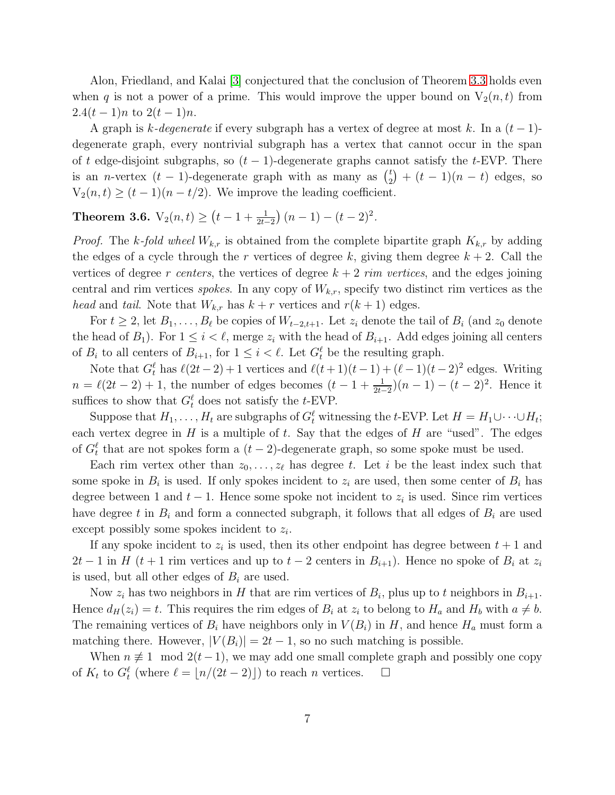Alon, Friedland, and Kalai [\[3\]](#page-14-2) conjectured that the conclusion of Theorem [3.3](#page-5-2) holds even when q is not a power of a prime. This would improve the upper bound on  $V_2(n, t)$  from  $2.4(t-1)n$  to  $2(t-1)n$ .

A graph is k-degenerate if every subgraph has a vertex of degree at most k. In a  $(t-1)$ degenerate graph, every nontrivial subgraph has a vertex that cannot occur in the span of t edge-disjoint subgraphs, so  $(t-1)$ -degenerate graphs cannot satisfy the t-EVP. There is an *n*-vertex  $(t - 1)$ -degenerate graph with as many as  $\binom{t}{2}$  $t_{2}^{t}$  +  $(t - 1)(n - t)$  edges, so  $V_2(n,t) \ge (t-1)(n-t/2)$ . We improve the leading coefficient.

# <span id="page-6-0"></span>Theorem 3.6.  $V_2(n,t) \ge (t-1+\frac{1}{2t-2})(n-1)-(t-2)^2$ .

*Proof.* The k-fold wheel  $W_{k,r}$  is obtained from the complete bipartite graph  $K_{k,r}$  by adding the edges of a cycle through the r vertices of degree k, giving them degree  $k + 2$ . Call the vertices of degree r centers, the vertices of degree  $k + 2$  rim vertices, and the edges joining central and rim vertices *spokes*. In any copy of  $W_{k,r}$ , specify two distinct rim vertices as the head and tail. Note that  $W_{k,r}$  has  $k+r$  vertices and  $r(k+1)$  edges.

For  $t \geq 2$ , let  $B_1, \ldots, B_\ell$  be copies of  $W_{t-2,t+1}$ . Let  $z_i$  denote the tail of  $B_i$  (and  $z_0$  denote the head of  $B_1$ ). For  $1 \leq i \leq \ell$ , merge  $z_i$  with the head of  $B_{i+1}$ . Add edges joining all centers of  $B_i$  to all centers of  $B_{i+1}$ , for  $1 \leq i \leq \ell$ . Let  $G_t^{\ell}$  be the resulting graph.

Note that  $G_t^{\ell}$  has  $\ell(2t-2)+1$  vertices and  $\ell(t+1)(t-1)+(\ell-1)(t-2)^2$  edges. Writing  $n = \ell(2t - 2) + 1$ , the number of edges becomes  $(t - 1 + \frac{1}{2t-2})(n-1) - (t - 2)^2$ . Hence it suffices to show that  $G_t^{\ell}$  does not satisfy the *t*-EVP.

Suppose that  $H_1, \ldots, H_t$  are subgraphs of  $G_t^{\ell}$  witnessing the t-EVP. Let  $H = H_1 \cup \cdots \cup H_t$ ; each vertex degree in  $H$  is a multiple of  $t$ . Say that the edges of  $H$  are "used". The edges of  $G_t^{\ell}$  that are not spokes form a  $(t-2)$ -degenerate graph, so some spoke must be used.

Each rim vertex other than  $z_0, \ldots, z_\ell$  has degree t. Let i be the least index such that some spoke in  $B_i$  is used. If only spokes incident to  $z_i$  are used, then some center of  $B_i$  has degree between 1 and  $t-1$ . Hence some spoke not incident to  $z_i$  is used. Since rim vertices have degree t in  $B_i$  and form a connected subgraph, it follows that all edges of  $B_i$  are used except possibly some spokes incident to  $z_i$ .

If any spoke incident to  $z_i$  is used, then its other endpoint has degree between  $t + 1$  and  $2t-1$  in H (t + 1 rim vertices and up to  $t-2$  centers in  $B_{i+1}$ ). Hence no spoke of  $B_i$  at  $z_i$ is used, but all other edges of  $B_i$  are used.

Now  $z_i$  has two neighbors in H that are rim vertices of  $B_i$ , plus up to t neighbors in  $B_{i+1}$ . Hence  $d_H(z_i) = t$ . This requires the rim edges of  $B_i$  at  $z_i$  to belong to  $H_a$  and  $H_b$  with  $a \neq b$ . The remaining vertices of  $B_i$  have neighbors only in  $V(B_i)$  in H, and hence  $H_a$  must form a matching there. However,  $|V(B_i)| = 2t - 1$ , so no such matching is possible.

When  $n \neq 1 \mod 2(t-1)$ , we may add one small complete graph and possibly one copy of  $K_t$  to  $G_t^{\ell}$  (where  $\ell = \lfloor n/(2t-2) \rfloor$ ) to reach n vertices.  $\Box$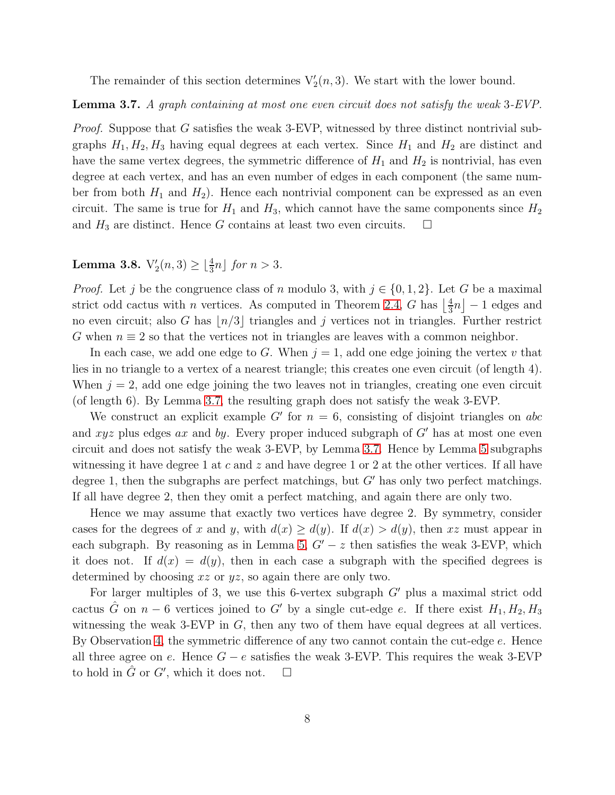The remainder of this section determines  $V'_{2}(n,3)$ . We start with the lower bound.

<span id="page-7-0"></span>Lemma 3.7. A graph containing at most one even circuit does not satisfy the weak 3-EVP.

Proof. Suppose that G satisfies the weak 3-EVP, witnessed by three distinct nontrivial subgraphs  $H_1, H_2, H_3$  having equal degrees at each vertex. Since  $H_1$  and  $H_2$  are distinct and have the same vertex degrees, the symmetric difference of  $H_1$  and  $H_2$  is nontrivial, has even degree at each vertex, and has an even number of edges in each component (the same number from both  $H_1$  and  $H_2$ ). Hence each nontrivial component can be expressed as an even circuit. The same is true for  $H_1$  and  $H_3$ , which cannot have the same components since  $H_2$ and  $H_3$  are distinct. Hence G contains at least two even circuits.  $\Box$ 

**Lemma 3.8.**  $V'_2(n, 3) \ge \lfloor \frac{4}{3}n \rfloor$  for  $n > 3$ .

*Proof.* Let j be the congruence class of n modulo 3, with  $j \in \{0, 1, 2\}$ . Let G be a maximal strict odd cactus with *n* vertices. As computed in Theorem [2.4,](#page-4-0) G has  $\frac{1}{3}$  $\frac{4}{3}n$ ] – 1 edges and no even circuit; also G has  $\lfloor n/3 \rfloor$  triangles and j vertices not in triangles. Further restrict G when  $n \equiv 2$  so that the vertices not in triangles are leaves with a common neighbor.

In each case, we add one edge to G. When  $j = 1$ , add one edge joining the vertex v that lies in no triangle to a vertex of a nearest triangle; this creates one even circuit (of length 4). When  $j = 2$ , add one edge joining the two leaves not in triangles, creating one even circuit (of length 6). By Lemma [3.7,](#page-7-0) the resulting graph does not satisfy the weak 3-EVP.

We construct an explicit example G' for  $n = 6$ , consisting of disjoint triangles on abc and xyz plus edges ax and by. Every proper induced subgraph of  $G'$  has at most one even circuit and does not satisfy the weak 3-EVP, by Lemma [3.7.](#page-7-0) Hence by Lemma [5](#page-2-0) subgraphs witnessing it have degree 1 at c and z and have degree 1 or 2 at the other vertices. If all have degree 1, then the subgraphs are perfect matchings, but  $G'$  has only two perfect matchings. If all have degree 2, then they omit a perfect matching, and again there are only two.

Hence we may assume that exactly two vertices have degree 2. By symmetry, consider cases for the degrees of x and y, with  $d(x) \geq d(y)$ . If  $d(x) > d(y)$ , then xz must appear in each subgraph. By reasoning as in Lemma [5,](#page-2-0)  $G' - z$  then satisfies the weak 3-EVP, which it does not. If  $d(x) = d(y)$ , then in each case a subgraph with the specified degrees is determined by choosing xz or yz, so again there are only two.

For larger multiples of 3, we use this 6-vertex subgraph  $G'$  plus a maximal strict odd cactus  $\hat{G}$  on  $n-6$  vertices joined to G' by a single cut-edge e. If there exist  $H_1, H_2, H_3$ witnessing the weak  $3$ -EVP in  $G$ , then any two of them have equal degrees at all vertices. By Observation [4,](#page-2-1) the symmetric difference of any two cannot contain the cut-edge e. Hence all three agree on e. Hence  $G - e$  satisfies the weak 3-EVP. This requires the weak 3-EVP to hold in  $\hat{G}$  or  $G'$ , which it does not.  $\Box$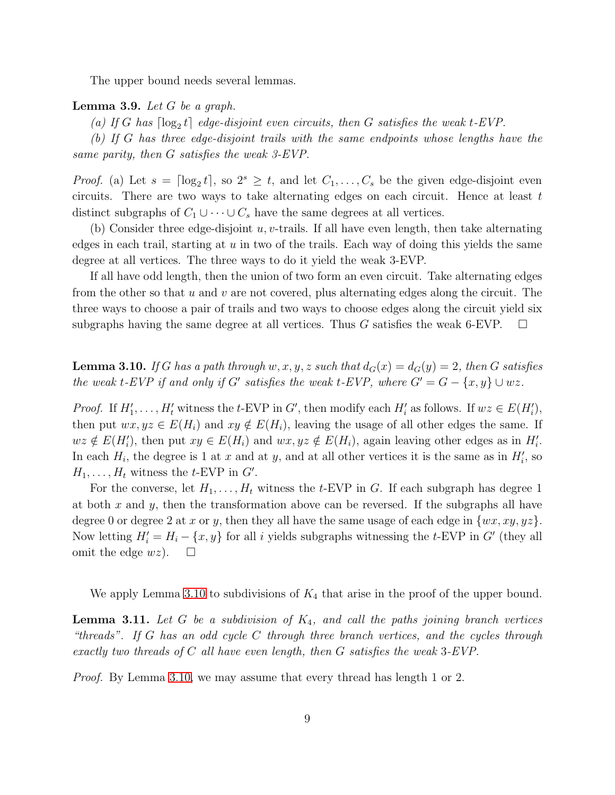The upper bound needs several lemmas.

#### <span id="page-8-1"></span>**Lemma 3.9.** Let  $G$  be a graph.

(a) If G has  $\lceil \log_2 t \rceil$  edge-disjoint even circuits, then G satisfies the weak t-EVP.

(b) If G has three edge-disjoint trails with the same endpoints whose lengths have the same parity, then G satisfies the weak 3-EVP.

*Proof.* (a) Let  $s = \lceil \log_2 t \rceil$ , so  $2^s \ge t$ , and let  $C_1, \ldots, C_s$  be the given edge-disjoint even circuits. There are two ways to take alternating edges on each circuit. Hence at least  $t$ distinct subgraphs of  $C_1 \cup \cdots \cup C_s$  have the same degrees at all vertices.

(b) Consider three edge-disjoint  $u, v$ -trails. If all have even length, then take alternating edges in each trail, starting at  $u$  in two of the trails. Each way of doing this yields the same degree at all vertices. The three ways to do it yield the weak 3-EVP.

If all have odd length, then the union of two form an even circuit. Take alternating edges from the other so that  $u$  and  $v$  are not covered, plus alternating edges along the circuit. The three ways to choose a pair of trails and two ways to choose edges along the circuit yield six subgraphs having the same degree at all vertices. Thus G satisfies the weak 6-EVP.  $\square$ 

<span id="page-8-0"></span>**Lemma 3.10.** If G has a path through w, x, y, z such that  $d_G(x) = d_G(y) = 2$ , then G satisfies the weak t-EVP if and only if G' satisfies the weak t-EVP, where  $G' = G - \{x, y\} \cup wz$ .

*Proof.* If  $H'_1, \ldots, H'_t$  witness the t-EVP in G', then modify each  $H'_i$  as follows. If  $wz \in E(H'_i)$ , then put  $wx, yz \in E(H_i)$  and  $xy \notin E(H_i)$ , leaving the usage of all other edges the same. If  $wz \notin E(H_i')$ , then put  $xy \in E(H_i)$  and  $wx, yz \notin E(H_i)$ , again leaving other edges as in  $H_i'$ . In each  $H_i$ , the degree is 1 at x and at y, and at all other vertices it is the same as in  $H_i'$ , so  $H_1, \ldots, H_t$  witness the t-EVP in  $G'$ .

For the converse, let  $H_1, \ldots, H_t$  witness the t-EVP in G. If each subgraph has degree 1 at both  $x$  and  $y$ , then the transformation above can be reversed. If the subgraphs all have degree 0 or degree 2 at x or y, then they all have the same usage of each edge in  $\{wx, xy, yz\}$ . Now letting  $H'_{i} = H_{i} - \{x, y\}$  for all i yields subgraphs witnessing the t-EVP in G' (they all omit the edge  $wz$ ).  $\square$ 

We apply Lemma [3.10](#page-8-0) to subdivisions of  $K_4$  that arise in the proof of the upper bound.

<span id="page-8-2"></span>**Lemma 3.11.** Let G be a subdivision of  $K_4$ , and call the paths joining branch vertices "threads". If G has an odd cycle C through three branch vertices, and the cycles through exactly two threads of  $C$  all have even length, then  $G$  satisfies the weak 3-EVP.

Proof. By Lemma [3.10,](#page-8-0) we may assume that every thread has length 1 or 2.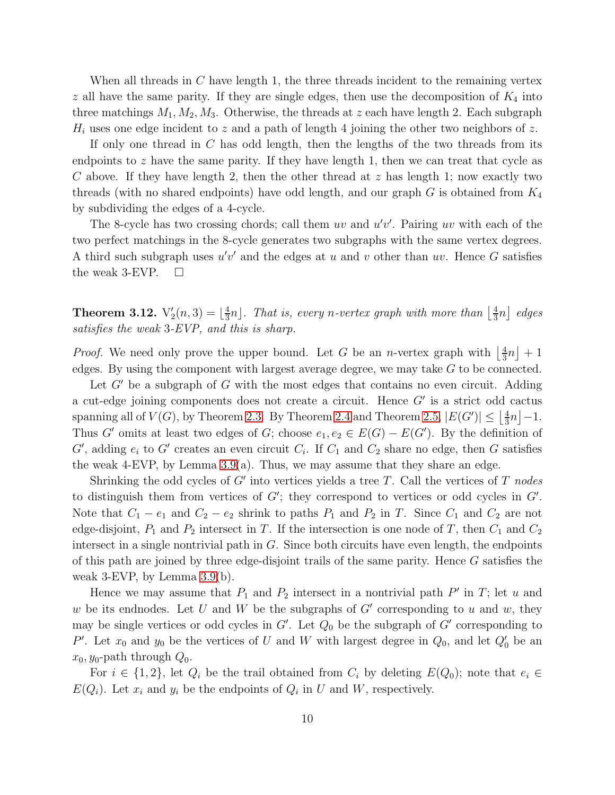When all threads in  $C$  have length 1, the three threads incident to the remaining vertex  $z$  all have the same parity. If they are single edges, then use the decomposition of  $K_4$  into three matchings  $M_1, M_2, M_3$ . Otherwise, the threads at z each have length 2. Each subgraph  $H_i$  uses one edge incident to z and a path of length 4 joining the other two neighbors of z.

If only one thread in  $C$  has odd length, then the lengths of the two threads from its endpoints to z have the same parity. If they have length 1, then we can treat that cycle as C above. If they have length 2, then the other thread at  $z$  has length 1; now exactly two threads (with no shared endpoints) have odd length, and our graph  $G$  is obtained from  $K_4$ by subdividing the edges of a 4-cycle.

The 8-cycle has two crossing chords; call them  $uv$  and  $u'v'$ . Pairing  $uv$  with each of the two perfect matchings in the 8-cycle generates two subgraphs with the same vertex degrees. A third such subgraph uses  $u'v'$  and the edges at u and v other than uv. Hence G satisfies the weak 3-EVP.  $\Box$ 

<span id="page-9-0"></span>Theorem 3.12.  $\mathrm{V}'_2(n,3) = \lfloor \frac{4}{3} \rfloor$  $\frac{4}{3}n$ ]. That is, every n-vertex graph with more than  $\left\lfloor \frac{4}{3}\right\rfloor$  $\frac{4}{3}n\rfloor$  edges satisfies the weak 3-EVP, and this is sharp.

*Proof.* We need only prove the upper bound. Let G be an *n*-vertex graph with  $\frac{4}{3}$  $\frac{4}{3}n\rfloor+1$ edges. By using the component with largest average degree, we may take G to be connected.

Let  $G'$  be a subgraph of G with the most edges that contains no even circuit. Adding a cut-edge joining components does not create a circuit. Hence G′ is a strict odd cactus spanning all of  $V(G)$ , by Theorem [2.3.](#page-3-1) By Theorem [2.4](#page-4-0) and Theorem [2.5,](#page-4-1)  $|E(G')| \leq \left\lfloor \frac{4}{3} \right\rfloor$  $\frac{4}{3}n$ ] -1. Thus G' omits at least two edges of G; choose  $e_1, e_2 \in E(G) - E(G')$ . By the definition of  $G'$ , adding  $e_i$  to  $G'$  creates an even circuit  $C_i$ . If  $C_1$  and  $C_2$  share no edge, then G satisfies the weak 4-EVP, by Lemma  $3.9(a)$ . Thus, we may assume that they share an edge.

Shrinking the odd cycles of  $G'$  into vertices yields a tree T. Call the vertices of T nodes to distinguish them from vertices of  $G'$ ; they correspond to vertices or odd cycles in  $G'$ . Note that  $C_1 - e_1$  and  $C_2 - e_2$  shrink to paths  $P_1$  and  $P_2$  in T. Since  $C_1$  and  $C_2$  are not edge-disjoint,  $P_1$  and  $P_2$  intersect in T. If the intersection is one node of T, then  $C_1$  and  $C_2$ intersect in a single nontrivial path in G. Since both circuits have even length, the endpoints of this path are joined by three edge-disjoint trails of the same parity. Hence G satisfies the weak 3-EVP, by Lemma [3.9\(](#page-8-1)b).

Hence we may assume that  $P_1$  and  $P_2$  intersect in a nontrivial path  $P'$  in  $T$ ; let u and w be its endnodes. Let U and W be the subgraphs of G' corresponding to u and w, they may be single vertices or odd cycles in  $G'$ . Let  $Q_0$  be the subgraph of  $G'$  corresponding to P'. Let  $x_0$  and  $y_0$  be the vertices of U and W with largest degree in  $Q_0$ , and let  $Q'_0$  be an  $x_0, y_0$ -path through  $Q_0$ .

For  $i \in \{1,2\}$ , let  $Q_i$  be the trail obtained from  $C_i$  by deleting  $E(Q_0)$ ; note that  $e_i \in$  $E(Q_i)$ . Let  $x_i$  and  $y_i$  be the endpoints of  $Q_i$  in U and W, respectively.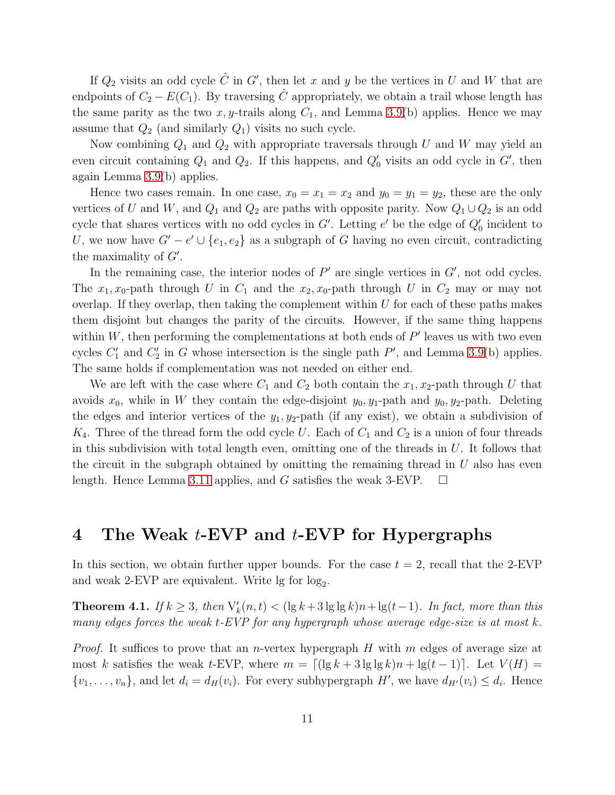If  $Q_2$  visits an odd cycle  $\hat{C}$  in  $G'$ , then let x and y be the vertices in U and W that are endpoints of  $C_2 - E(C_1)$ . By traversing  $\hat{C}$  appropriately, we obtain a trail whose length has the same parity as the two x, y-trails along  $C_1$ , and Lemma [3.9\(](#page-8-1)b) applies. Hence we may assume that  $Q_2$  (and similarly  $Q_1$ ) visits no such cycle.

Now combining  $Q_1$  and  $Q_2$  with appropriate traversals through U and W may yield an even circuit containing  $Q_1$  and  $Q_2$ . If this happens, and  $Q'_0$  visits an odd cycle in  $G'$ , then again Lemma [3.9\(](#page-8-1)b) applies.

Hence two cases remain. In one case,  $x_0 = x_1 = x_2$  and  $y_0 = y_1 = y_2$ , these are the only vertices of U and W, and  $Q_1$  and  $Q_2$  are paths with opposite parity. Now  $Q_1 \cup Q_2$  is an odd cycle that shares vertices with no odd cycles in  $G'$ . Letting  $e'$  be the edge of  $Q'_0$  incident to U, we now have  $G' - e' \cup \{e_1, e_2\}$  as a subgraph of G having no even circuit, contradicting the maximality of  $G'$ .

In the remaining case, the interior nodes of  $P'$  are single vertices in  $G'$ , not odd cycles. The  $x_1, x_0$ -path through U in  $C_1$  and the  $x_2, x_0$ -path through U in  $C_2$  may or may not overlap. If they overlap, then taking the complement within  $U$  for each of these paths makes them disjoint but changes the parity of the circuits. However, if the same thing happens within  $W$ , then performing the complementations at both ends of  $P'$  leaves us with two even cycles  $C'_1$  and  $C'_2$  in G whose intersection is the single path  $P'$ , and Lemma [3.9\(](#page-8-1)b) applies. The same holds if complementation was not needed on either end.

We are left with the case where  $C_1$  and  $C_2$  both contain the  $x_1, x_2$ -path through U that avoids  $x_0$ , while in W they contain the edge-disjoint  $y_0, y_1$ -path and  $y_0, y_2$ -path. Deleting the edges and interior vertices of the  $y_1, y_2$ -path (if any exist), we obtain a subdivision of  $K_4$ . Three of the thread form the odd cycle U. Each of  $C_1$  and  $C_2$  is a union of four threads in this subdivision with total length even, omitting one of the threads in  $U$ . It follows that the circuit in the subgraph obtained by omitting the remaining thread in  $U$  also has even length. Hence Lemma [3.11](#page-8-2) applies, and G satisfies the weak 3-EVP.  $\Box$ 

## 4 The Weak *t*-EVP and *t*-EVP for Hypergraphs

In this section, we obtain further upper bounds. For the case  $t = 2$ , recall that the 2-EVP and weak 2-EVP are equivalent. Write  $\lg$  for  $\log_2$ .

<span id="page-10-0"></span>**Theorem 4.1.** If  $k \geq 3$ , then  $V'_{k}(n,t) < (\lg k + 3 \lg \lg k)n + \lg(t-1)$ . In fact, more than this many edges forces the weak  $t$ -EVP for any hypergraph whose average edge-size is at most  $k$ .

*Proof.* It suffices to prove that an *n*-vertex hypergraph H with m edges of average size at most k satisfies the weak t-EVP, where  $m = \lfloor (\lg k + 3 \lg \lg k)n + \lg(t-1) \rfloor$ . Let  $V(H) =$  $\{v_1, \ldots, v_n\}$ , and let  $d_i = d_H(v_i)$ . For every subhypergraph  $H'$ , we have  $d_{H'}(v_i) \leq d_i$ . Hence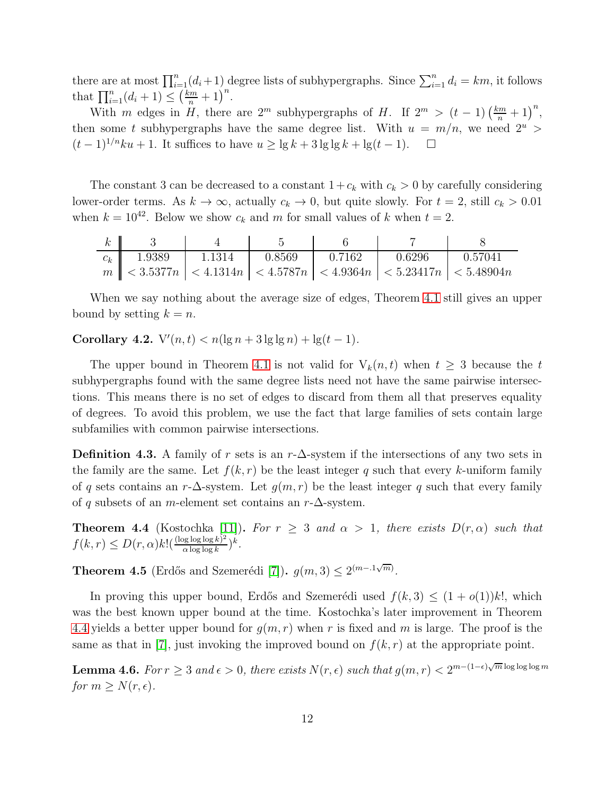there are at most  $\prod_{i=1}^{n} (d_i + 1)$  degree lists of subhypergraphs. Since  $\sum_{i=1}^{n} d_i = km$ , it follows that  $\prod_{i=1}^{n} (d_i + 1) \leq (\frac{km}{n} + 1)^n$ .

With m edges in H, there are  $2^m$  subhypergraphs of H. If  $2^m > (t-1) \left(\frac{km}{n} + 1\right)^n$ , then some t subhypergraphs have the same degree list. With  $u = m/n$ , we need  $2^u$  $(t-1)^{1/n}ku + 1$ . It suffices to have  $u \ge \lg k + 3 \lg \lg k + \lg(t-1)$ .  $\Box$ 

The constant 3 can be decreased to a constant  $1+c_k$  with  $c_k > 0$  by carefully considering lower-order terms. As  $k \to \infty$ , actually  $c_k \to 0$ , but quite slowly. For  $t = 2$ , still  $c_k > 0.01$ when  $k = 10^{42}$ . Below we show  $c_k$  and m for small values of k when  $t = 2$ .

| $k_{-}$ |                |                   |                   |                                                                                     |                     |
|---------|----------------|-------------------|-------------------|-------------------------------------------------------------------------------------|---------------------|
|         | $c_k$   1.9389 | $1.1314$ $0.8569$ | $0.7162$ $0.6296$ |                                                                                     | $\parallel$ 0.57041 |
|         |                |                   |                   | $m \leq 3.5377n \leq 4.1314n \leq 4.5787n \leq 4.9364n \leq 5.23417n \leq 5.48904n$ |                     |

When we say nothing about the average size of edges, Theorem [4.1](#page-10-0) still gives an upper bound by setting  $k = n$ .

Corollary 4.2.  $V'(n,t) < n(\lg n + 3 \lg \lg n) + \lg(t-1)$ .

The upper bound in Theorem [4.1](#page-10-0) is not valid for  $V_k(n, t)$  when  $t \geq 3$  because the t subhypergraphs found with the same degree lists need not have the same pairwise intersections. This means there is no set of edges to discard from them all that preserves equality of degrees. To avoid this problem, we use the fact that large families of sets contain large subfamilies with common pairwise intersections.

**Definition 4.3.** A family of r sets is an r- $\Delta$ -system if the intersections of any two sets in the family are the same. Let  $f(k, r)$  be the least integer q such that every k-uniform family of q sets contains an r- $\Delta$ -system. Let  $g(m, r)$  be the least integer q such that every family of q subsets of an m-element set contains an  $r-\Delta$ -system.

<span id="page-11-0"></span>**Theorem 4.4** (Kostochka [\[11\]](#page-14-7)). For  $r \geq 3$  and  $\alpha > 1$ , there exists  $D(r, \alpha)$  such that  $f(k,r) \leq D(r,\alpha)k! \left(\frac{(\log\log\log k)^2}{\alpha\log\log k}\right)$  $\frac{\log \log \log k)^2}{\alpha \log \log k}$ )<sup>k</sup>.

**Theorem 4.5** (Erdős and Szemerédi [\[7\]](#page-14-8)).  $g(m, 3) \leq 2^{(m-1\sqrt{m})}$ .

In proving this upper bound, Erdős and Szemerédi used  $f(k, 3) \leq (1 + o(1))k!$ , which was the best known upper bound at the time. Kostochka's later improvement in Theorem [4.4](#page-11-0) yields a better upper bound for  $g(m, r)$  when r is fixed and m is large. The proof is the same as that in [\[7\]](#page-14-8), just invoking the improved bound on  $f(k, r)$  at the appropriate point.

<span id="page-11-1"></span>**Lemma 4.6.** For  $r \geq 3$  and  $\epsilon > 0$ , there exists  $N(r, \epsilon)$  such that  $g(m, r) < 2^{m-(1-\epsilon)\sqrt{m}\log\log\log m}$ for  $m \geq N(r, \epsilon)$ .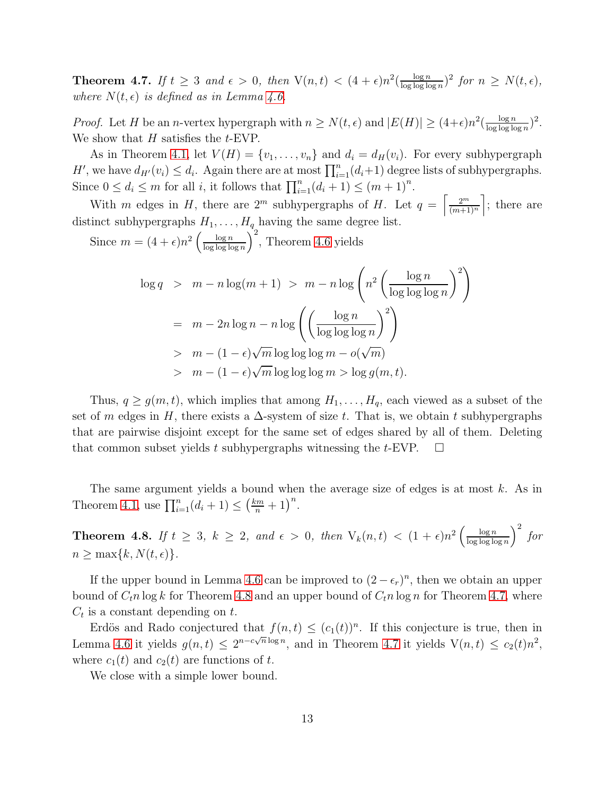<span id="page-12-1"></span>**Theorem 4.7.** If  $t \geq 3$  and  $\epsilon > 0$ , then  $V(n, t) < (4 + \epsilon)n^2(\frac{\log n}{\log \log \log n})$  $\frac{\log n}{\log \log \log n}$ <sup>2</sup> for  $n \geq N(t, \epsilon)$ , where  $N(t, \epsilon)$  is defined as in Lemma [4.6.](#page-11-1)

*Proof.* Let H be an *n*-vertex hypergraph with  $n \ge N(t, \epsilon)$  and  $|E(H)| \ge (4+\epsilon)n^2(\frac{\log n}{\log \log \log n})$  $\frac{\log n}{\log \log \log n})^2$ . We show that  $H$  satisfies the  $t$ -EVP.

As in Theorem [4.1,](#page-10-0) let  $V(H) = \{v_1, \ldots, v_n\}$  and  $d_i = d_H(v_i)$ . For every subhypergraph H', we have  $d_{H'}(v_i) \leq d_i$ . Again there are at most  $\prod_{i=1}^n (d_i+1)$  degree lists of subhypergraphs. Since  $0 \le d_i \le m$  for all *i*, it follows that  $\prod_{i=1}^n (d_i + 1) \le (m + 1)^n$ .

With m edges in H, there are  $2^m$  subhypergraphs of H. Let  $q = \frac{2^m}{(m+1)!}$  $\frac{2^m}{(m+1)^n}$ ; there are distinct subhypergraphs  $H_1, \ldots, H_q$  having the same degree list.

Since  $m = (4 + \epsilon)n^2 \left( \frac{\log n}{\log \log \log n} \right)$  $\frac{\log n}{\log \log \log n}$ , Theorem [4.6](#page-11-1) yields

$$
\log q > m - n \log(m + 1) > m - n \log \left( n^2 \left( \frac{\log n}{\log \log \log n} \right)^2 \right)
$$
  
=  $m - 2n \log n - n \log \left( \left( \frac{\log n}{\log \log \log n} \right)^2 \right)$   
>  $m - (1 - \epsilon) \sqrt{m} \log \log \log m - o(\sqrt{m})$   
>  $m - (1 - \epsilon) \sqrt{m} \log \log \log m > \log g(m, t).$ 

Thus,  $q \geq g(m, t)$ , which implies that among  $H_1, \ldots, H_q$ , each viewed as a subset of the set of m edges in H, there exists a  $\Delta$ -system of size t. That is, we obtain t subhypergraphs that are pairwise disjoint except for the same set of edges shared by all of them. Deleting that common subset yields t subhypergraphs witnessing the t-EVP.  $\Box$ 

The same argument yields a bound when the average size of edges is at most k. As in Theorem [4.1,](#page-10-0) use  $\prod_{i=1}^{n} (d_i + 1) \leq (\frac{km}{n} + 1)^n$ .

<span id="page-12-0"></span>**Theorem 4.8.** If  $t \geq 3$ ,  $k \geq 2$ , and  $\epsilon > 0$ , then  $V_k(n,t) < (1+\epsilon)n^2 \left( \frac{\log n}{\log \log \log n} \right)$  $\frac{\log n}{\log \log \log n}$  $\bigg)^2$  for  $n \geq \max\{k, N(t, \epsilon)\}.$ 

If the upper bound in Lemma [4.6](#page-11-1) can be improved to  $(2 - \epsilon_r)^n$ , then we obtain an upper bound of  $C_t n \log k$  for Theorem [4.8](#page-12-0) and an upper bound of  $C_t n \log n$  for Theorem [4.7,](#page-12-1) where  $C_t$  is a constant depending on t.

Erdös and Rado conjectured that  $f(n,t) \leq (c_1(t))^n$ . If this conjecture is true, then in Lemma [4.6](#page-11-1) it yields  $g(n,t) \leq 2^{n-c\sqrt{n}\log n}$ , and in Theorem [4.7](#page-12-1) it yields  $V(n,t) \leq c_2(t)n^2$ , where  $c_1(t)$  and  $c_2(t)$  are functions of t.

We close with a simple lower bound.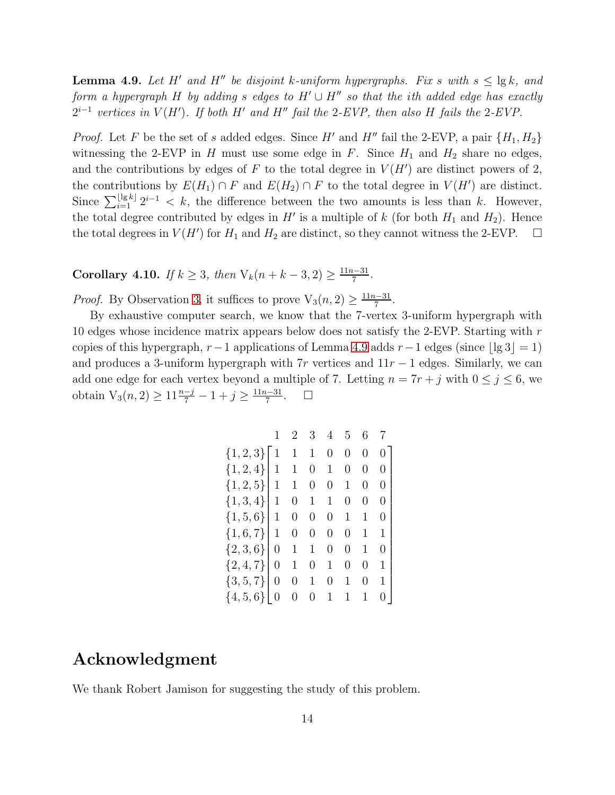<span id="page-13-0"></span>**Lemma 4.9.** Let H' and H'' be disjoint k-uniform hypergraphs. Fix s with  $s \leq \lg k$ , and form a hypergraph H by adding s edges to  $H' \cup H''$  so that the ith added edge has exactly  $2^{i-1}$  vertices in  $V(H')$ . If both H' and H" fail the 2-EVP, then also H fails the 2-EVP.

*Proof.* Let F be the set of s added edges. Since H' and H'' fail the 2-EVP, a pair  $\{H_1, H_2\}$ witnessing the 2-EVP in H must use some edge in F. Since  $H_1$  and  $H_2$  share no edges, and the contributions by edges of F to the total degree in  $V(H')$  are distinct powers of 2, the contributions by  $E(H_1) \cap F$  and  $E(H_2) \cap F$  to the total degree in  $V(H')$  are distinct. Since  $\sum_{i=1}^{\lfloor \lg k \rfloor} 2^{i-1} < k$ , the difference between the two amounts is less than k. However, the total degree contributed by edges in  $H'$  is a multiple of k (for both  $H_1$  and  $H_2$ ). Hence the total degrees in  $V(H')$  for  $H_1$  and  $H_2$  are distinct, so they cannot witness the 2-EVP.  $\Box$ 

Corollary 4.10. If  $k \geq 3$ , then  $V_k(n + k - 3, 2) \geq \frac{11n-31}{7}$ .

*Proof.* By Observation [3,](#page-2-2) it suffices to prove  $V_3(n, 2) \ge \frac{11n-31}{7}$ .

By exhaustive computer search, we know that the 7-vertex 3-uniform hypergraph with 10 edges whose incidence matrix appears below does not satisfy the 2-EVP. Starting with r copies of this hypergraph,  $r-1$  applications of Lemma [4.9](#page-13-0) adds  $r-1$  edges (since  $|\lg 3| = 1$ ) and produces a 3-uniform hypergraph with  $7r$  vertices and  $11r - 1$  edges. Similarly, we can add one edge for each vertex beyond a multiple of 7. Letting  $n = 7r + j$  with  $0 \le j \le 6$ , we obtain  $V_3(n, 2) \ge 11 \frac{n-j}{7} - 1 + j \ge \frac{11n-31}{7}$  $\Box$ 

| ${1,2,3}$     | $\overline{1}$ |   |                  |                |   | 0                | 0                |  |
|---------------|----------------|---|------------------|----------------|---|------------------|------------------|--|
| ${1, 2, 4}$   | $\mathbf{1}$   |   | $\theta$         | 1              |   | $\left( \right)$ | 0                |  |
| ${1, 2, 5}$   | $\mathbf{1}$   |   | $\left( \right)$ | 0              | 1 | 0                | 0                |  |
| $\{1, 3, 4\}$ | $\mathbf{1}$   |   |                  | 1              |   | 0                | 0                |  |
| $\{1, 5, 6\}$ | $\mathbf{1}$   |   |                  | 0              | 1 |                  | $\left( \right)$ |  |
| $\{1, 6, 7\}$ | $\mathbf{1}$   |   |                  | 0              | 0 | 1                | $\mathbf 1$      |  |
| ${2, 3, 6}$   | $\overline{0}$ |   |                  | 0              | 0 | 1                | 0                |  |
| ${2, 4, 7}$   | 0              |   |                  |                |   | $\left( \right)$ | 1                |  |
| $\{3, 5, 7\}$ | $\overline{0}$ | 0 |                  | $\overline{0}$ | 1 | 0                | 1                |  |
| $\{4, 5, 6\}$ |                |   |                  | 1              | 1 | 1                |                  |  |

## Acknowledgment

We thank Robert Jamison for suggesting the study of this problem.